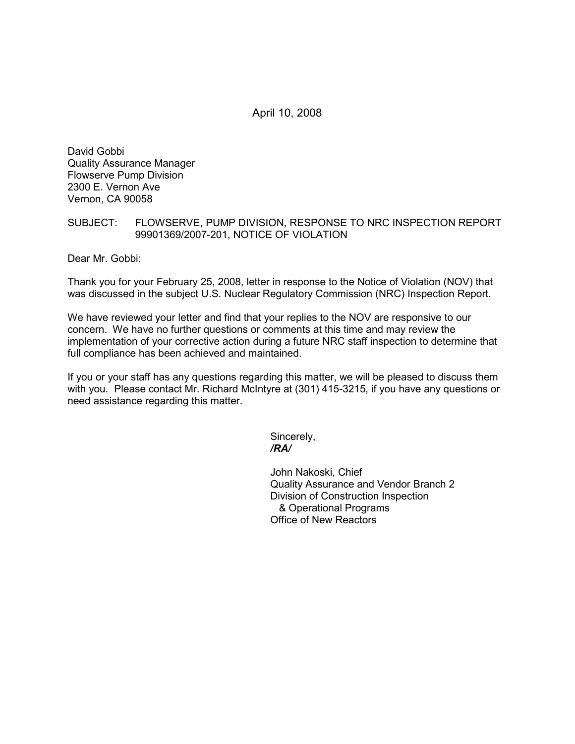April 10, 2008

David Gobbi Quality Assurance Manager Flowserve Pump Division 2300 E. Vernon Ave Vernon, CA 90058

## SUBJECT: FLOWSERVE, PUMP DIVISION, RESPONSE TO NRC INSPECTION REPORT 99901369/2007-201, NOTICE OF VIOLATION

Dear Mr. Gobbi:

Thank you for your February 25, 2008, letter in response to the Notice of Violation (NOV) that was discussed in the subject U.S. Nuclear Regulatory Commission (NRC) Inspection Report.

We have reviewed your letter and find that your replies to the NOV are responsive to our concern. We have no further questions or comments at this time and may review the implementation of your corrective action during a future NRC staff inspection to determine that full compliance has been achieved and maintained.

If you or your staff has any questions regarding this matter, we will be pleased to discuss them with you. Please contact Mr. Richard McIntyre at (301) 415-3215, if you have any questions or need assistance regarding this matter.

> Sincerely, */RA/*

John Nakoski, Chief Quality Assurance and Vendor Branch 2 Division of Construction Inspection & Operational Programs Office of New Reactors